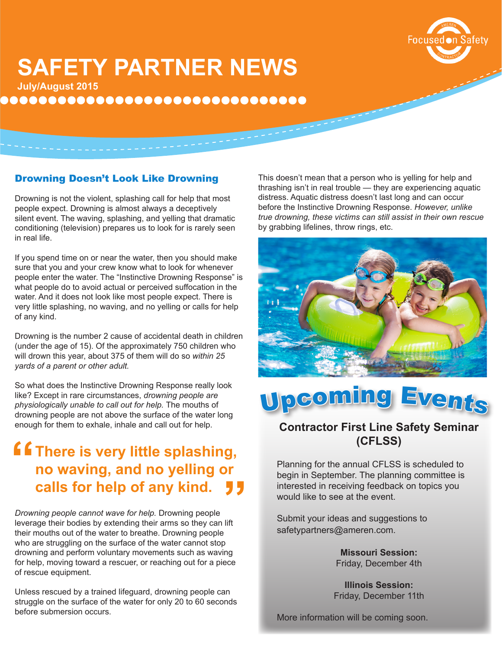

# **SAFETY PARTNER NEWS**

**July/August 2015**

**................................** 

### Drowning Doesn't Look Like Drowning

Drowning is not the violent, splashing call for help that most people expect. Drowning is almost always a deceptively silent event. The waving, splashing, and yelling that dramatic conditioning (television) prepares us to look for is rarely seen in real life.

If you spend time on or near the water, then you should make sure that you and your crew know what to look for whenever people enter the water. The "Instinctive Drowning Response" is what people do to avoid actual or perceived suffocation in the water. And it does not look like most people expect. There is very little splashing, no waving, and no yelling or calls for help of any kind.

Drowning is the number 2 cause of accidental death in children (under the age of 15). Of the approximately 750 children who will drown this year, about 375 of them will do so *within 25 yards of a parent or other adult.* 

So what does the Instinctive Drowning Response really look like? Except in rare circumstances, *drowning people are physiologically unable to call out for help.* The mouths of drowning people are not above the surface of the water long enough for them to exhale, inhale and call out for help.

## **f f** There is very little splashing,<br>
no waving, and no yelling or<br>
calls for help of any kind **no waving, and no yelling or calls for help of any kind. JJ**

*Drowning people cannot wave for help.* Drowning people leverage their bodies by extending their arms so they can lift their mouths out of the water to breathe. Drowning people who are struggling on the surface of the water cannot stop drowning and perform voluntary movements such as waving for help, moving toward a rescuer, or reaching out for a piece of rescue equipment.

Unless rescued by a trained lifeguard, drowning people can struggle on the surface of the water for only 20 to 60 seconds before submersion occurs.

This doesn't mean that a person who is yelling for help and thrashing isn't in real trouble — they are experiencing aquatic distress. Aquatic distress doesn't last long and can occur before the Instinctive Drowning Response. *However, unlike true drowning, these victims can still assist in their own rescue*  by grabbing lifelines, throw rings, etc.





### **Contractor First Line Safety Seminar (CFLSS)**

Planning for the annual CFLSS is scheduled to begin in September. The planning committee is interested in receiving feedback on topics you would like to see at the event.

Submit your ideas and suggestions to safetypartners@ameren.com.

> **Missouri Session:**  Friday, December 4th

**Illinois Session:**  Friday, December 11th

More information will be coming soon.